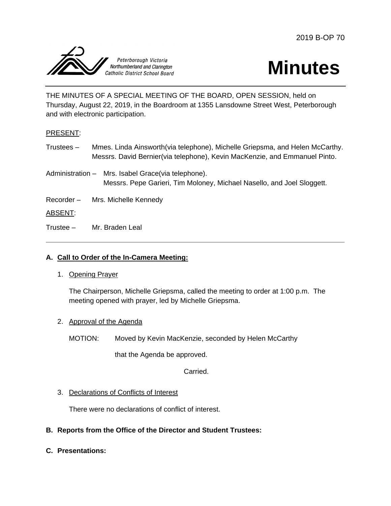



THE MINUTES OF A SPECIAL MEETING OF THE BOARD, OPEN SESSION, held on Thursday, August 22, 2019, in the Boardroom at 1355 Lansdowne Street West, Peterborough and with electronic participation.

# PRESENT:

- Trustees Mmes. Linda Ainsworth(via telephone), Michelle Griepsma, and Helen McCarthy. Messrs. David Bernier(via telephone), Kevin MacKenzie, and Emmanuel Pinto.
- Administration Mrs. Isabel Grace(via telephone). Messrs. Pepe Garieri, Tim Moloney, Michael Nasello, and Joel Sloggett.
- Recorder Mrs. Michelle Kennedy

# ABSENT:

Trustee – Mr. Braden Leal

# **A. Call to Order of the In-Camera Meeting:**

1. Opening Prayer

The Chairperson, Michelle Griepsma, called the meeting to order at 1:00 p.m. The meeting opened with prayer, led by Michelle Griepsma.

- 2. Approval of the Agenda
	- MOTION: Moved by Kevin MacKenzie, seconded by Helen McCarthy

that the Agenda be approved.

Carried.

# 3. Declarations of Conflicts of Interest

There were no declarations of conflict of interest.

# **B. Reports from the Office of the Director and Student Trustees:**

**C. Presentations:**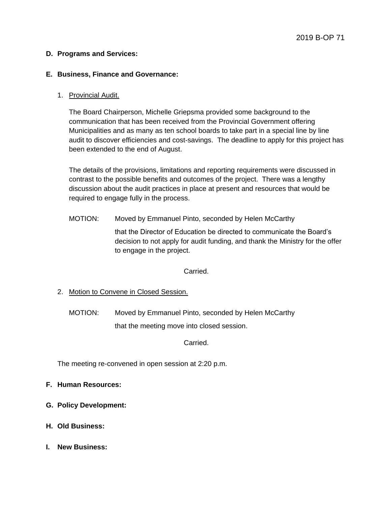### **D. Programs and Services:**

### **E. Business, Finance and Governance:**

### 1. Provincial Audit.

The Board Chairperson, Michelle Griepsma provided some background to the communication that has been received from the Provincial Government offering Municipalities and as many as ten school boards to take part in a special line by line audit to discover efficiencies and cost-savings. The deadline to apply for this project has been extended to the end of August.

The details of the provisions, limitations and reporting requirements were discussed in contrast to the possible benefits and outcomes of the project. There was a lengthy discussion about the audit practices in place at present and resources that would be required to engage fully in the process.

MOTION: Moved by Emmanuel Pinto, seconded by Helen McCarthy

that the Director of Education be directed to communicate the Board's decision to not apply for audit funding, and thank the Ministry for the offer to engage in the project.

Carried.

2. Motion to Convene in Closed Session.

MOTION: Moved by Emmanuel Pinto, seconded by Helen McCarthy that the meeting move into closed session.

Carried.

The meeting re-convened in open session at 2:20 p.m.

# **F. Human Resources:**

- **G. Policy Development:**
- **H. Old Business:**
- **I. New Business:**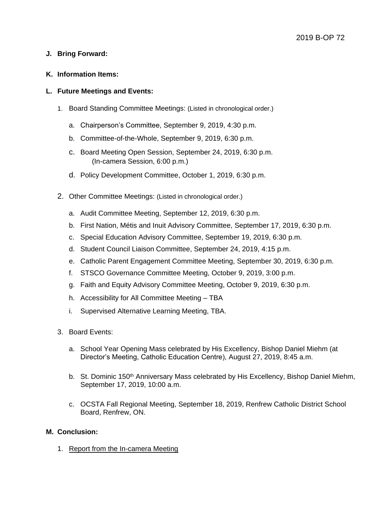# **J. Bring Forward:**

#### **K. Information Items:**

### **L. Future Meetings and Events:**

- 1. Board Standing Committee Meetings: (Listed in chronological order.)
	- a. Chairperson's Committee, September 9, 2019, 4:30 p.m.
	- b. Committee-of-the-Whole, September 9, 2019, 6:30 p.m.
	- c. Board Meeting Open Session, September 24, 2019, 6:30 p.m. (In-camera Session, 6:00 p.m.)
	- d. Policy Development Committee, October 1, 2019, 6:30 p.m.
- 2. Other Committee Meetings: (Listed in chronological order.)
	- a. Audit Committee Meeting, September 12, 2019, 6:30 p.m.
	- b. First Nation, Métis and Inuit Advisory Committee, September 17, 2019, 6:30 p.m.
	- c. Special Education Advisory Committee, September 19, 2019, 6:30 p.m.
	- d. Student Council Liaison Committee, September 24, 2019, 4:15 p.m.
	- e. Catholic Parent Engagement Committee Meeting, September 30, 2019, 6:30 p.m.
	- f. STSCO Governance Committee Meeting, October 9, 2019, 3:00 p.m.
	- g. Faith and Equity Advisory Committee Meeting, October 9, 2019, 6:30 p.m.
	- h. Accessibility for All Committee Meeting TBA
	- i. Supervised Alternative Learning Meeting, TBA.
- 3. Board Events:
	- a. School Year Opening Mass celebrated by His Excellency, Bishop Daniel Miehm (at Director's Meeting, Catholic Education Centre), August 27, 2019, 8:45 a.m.
	- b. St. Dominic 150<sup>th</sup> Anniversary Mass celebrated by His Excellency, Bishop Daniel Miehm, September 17, 2019, 10:00 a.m.
	- c. OCSTA Fall Regional Meeting, September 18, 2019, Renfrew Catholic District School Board, Renfrew, ON.

### **M. Conclusion:**

1. Report from the In-camera Meeting